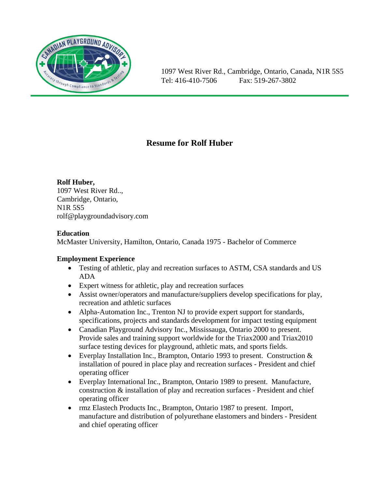

# **Resume for Rolf Huber**

# **Rolf Huber,**

1097 West River Rd.., Cambridge, Ontario, N1R 5S5 rolf@playgroundadvisory.com

# **Education**

McMaster University, Hamilton, Ontario, Canada 1975 - Bachelor of Commerce

# **Employment Experience**

- Testing of athletic, play and recreation surfaces to ASTM, CSA standards and US ADA
- Expert witness for athletic, play and recreation surfaces
- Assist owner/operators and manufacture/suppliers develop specifications for play, recreation and athletic surfaces
- Alpha-Automation Inc., Trenton NJ to provide expert support for standards, specifications, projects and standards development for impact testing equipment
- Canadian Playground Advisory Inc., Mississauga, Ontario 2000 to present. Provide sales and training support worldwide for the Triax2000 and Triax2010 surface testing devices for playground, athletic mats, and sports fields.
- Everplay Installation Inc., Brampton, Ontario 1993 to present. Construction & installation of poured in place play and recreation surfaces - President and chief operating officer
- Everplay International Inc., Brampton, Ontario 1989 to present. Manufacture, construction & installation of play and recreation surfaces - President and chief operating officer
- rmz Elastech Products Inc., Brampton, Ontario 1987 to present. Import, manufacture and distribution of polyurethane elastomers and binders - President and chief operating officer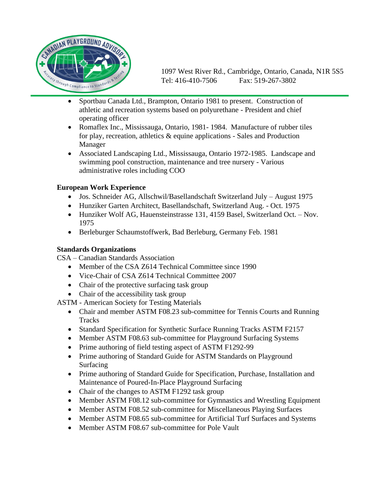

- Sportbau Canada Ltd., Brampton, Ontario 1981 to present. Construction of athletic and recreation systems based on polyurethane - President and chief operating officer
- Romaflex Inc., Mississauga, Ontario, 1981-1984. Manufacture of rubber tiles for play, recreation, athletics & equine applications - Sales and Production Manager
- Associated Landscaping Ltd., Mississauga, Ontario 1972-1985. Landscape and swimming pool construction, maintenance and tree nursery - Various administrative roles including COO

# **European Work Experience**

- Jos. Schneider AG, Allschwil/Basellandschaft Switzerland July August 1975
- Hunziker Garten Architect, Basellandschaft, Switzerland Aug. Oct. 1975
- Hunziker Wolf AG, Hauensteinstrasse 131, 4159 Basel, Switzerland Oct. Nov. 1975
- Berleburger Schaumstoffwerk, Bad Berleburg, Germany Feb. 1981

### **Standards Organizations**

CSA – Canadian Standards Association

- Member of the CSA Z614 Technical Committee since 1990
- Vice-Chair of CSA Z614 Technical Committee 2007
- Chair of the protective surfacing task group
- Chair of the accessibility task group

ASTM - American Society for Testing Materials

- Chair and member ASTM F08.23 sub-committee for Tennis Courts and Running **Tracks**
- Standard Specification for Synthetic Surface Running Tracks ASTM F2157
- Member ASTM F08.63 sub-committee for Playground Surfacing Systems
- Prime authoring of field testing aspect of ASTM F1292-99
- Prime authoring of Standard Guide for ASTM Standards on Playground Surfacing
- Prime authoring of Standard Guide for Specification, Purchase, Installation and Maintenance of Poured-In-Place Playground Surfacing
- Chair of the changes to ASTM F1292 task group
- Member ASTM F08.12 sub-committee for Gymnastics and Wrestling Equipment
- Member ASTM F08.52 sub-committee for Miscellaneous Playing Surfaces
- Member ASTM F08.65 sub-committee for Artificial Turf Surfaces and Systems
- Member ASTM F08.67 sub-committee for Pole Vault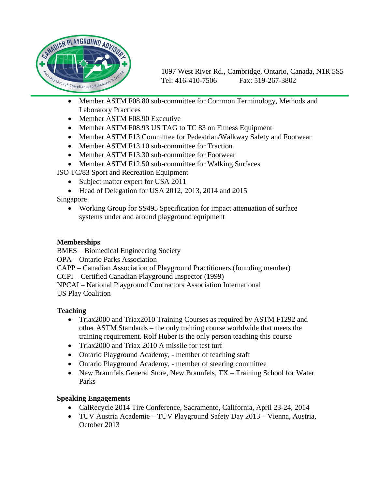

- Member ASTM F08.80 sub-committee for Common Terminology, Methods and Laboratory Practices
- Member ASTM F08.90 Executive
- Member ASTM F08.93 US TAG to TC 83 on Fitness Equipment
- Member ASTM F13 Committee for Pedestrian/Walkway Safety and Footwear
- Member ASTM F13.10 sub-committee for Traction
- Member ASTM F13.30 sub-committee for Footwear
- Member ASTM F12.50 sub-committee for Walking Surfaces
- ISO TC/83 Sport and Recreation Equipment
	- Subject matter expert for USA 2011
	- Head of Delegation for USA 2012, 2013, 2014 and 2015
- Singapore
	- Working Group for SS495 Specification for impact attenuation of surface systems under and around playground equipment

#### **Memberships**

BMES – Biomedical Engineering Society

OPA – Ontario Parks Association

CAPP – Canadian Association of Playground Practitioners (founding member)

CCPI – Certified Canadian Playground Inspector (1999)

NPCAI – National Playground Contractors Association International US Play Coalition

### **Teaching**

- Triax2000 and Triax2010 Training Courses as required by ASTM F1292 and other ASTM Standards – the only training course worldwide that meets the training requirement. Rolf Huber is the only person teaching this course
- Triax2000 and Triax 2010 A missile for test turf
- Ontario Playground Academy, member of teaching staff
- Ontario Playground Academy, member of steering committee
- New Braunfels General Store, New Braunfels, TX Training School for Water Parks

### **Speaking Engagements**

- CalRecycle 2014 Tire Conference, Sacramento, California, April 23-24, 2014
- TUV Austria Academie TUV Playground Safety Day 2013 Vienna, Austria, October 2013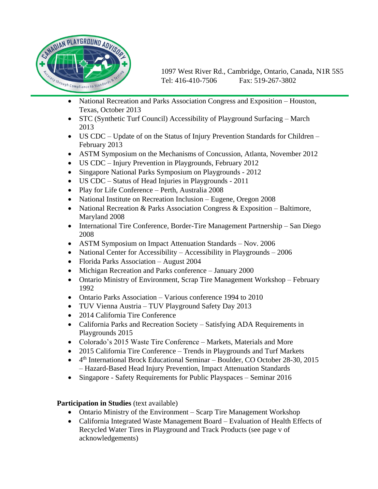

- National Recreation and Parks Association Congress and Exposition Houston, Texas, October 2013
- STC (Synthetic Turf Council) Accessibility of Playground Surfacing March 2013
- US CDC Update of on the Status of Injury Prevention Standards for Children February 2013
- ASTM Symposium on the Mechanisms of Concussion, Atlanta, November 2012
- US CDC Injury Prevention in Playgrounds, February 2012
- Singapore National Parks Symposium on Playgrounds 2012
- US CDC Status of Head Injuries in Playgrounds 2011
- Play for Life Conference Perth, Australia 2008
- National Institute on Recreation Inclusion Eugene, Oregon 2008
- National Recreation & Parks Association Congress & Exposition Baltimore, Maryland 2008
- International Tire Conference, Border-Tire Management Partnership San Diego 2008
- ASTM Symposium on Impact Attenuation Standards Nov. 2006
- National Center for Accessibility Accessibility in Playgrounds 2006
- Florida Parks Association August 2004
- Michigan Recreation and Parks conference January 2000
- Ontario Ministry of Environment, Scrap Tire Management Workshop February 1992
- Ontario Parks Association Various conference 1994 to 2010
- TUV Vienna Austria TUV Playground Safety Day 2013
- 2014 California Tire Conference
- California Parks and Recreation Society Satisfying ADA Requirements in Playgrounds 2015
- Colorado's 2015 Waste Tire Conference Markets, Materials and More
- 2015 California Tire Conference Trends in Playgrounds and Turf Markets
- 4<sup>th</sup> International Brock Educational Seminar Boulder, CO October 28-30, 2015 – Hazard-Based Head Injury Prevention, Impact Attenuation Standards
- Singapore Safety Requirements for Public Playspaces Seminar 2016

### **Participation in Studies** (text available)

- Ontario Ministry of the Environment Scarp Tire Management Workshop
- California Integrated Waste Management Board Evaluation of Health Effects of Recycled Water Tires in Playground and Track Products (see page v of acknowledgements)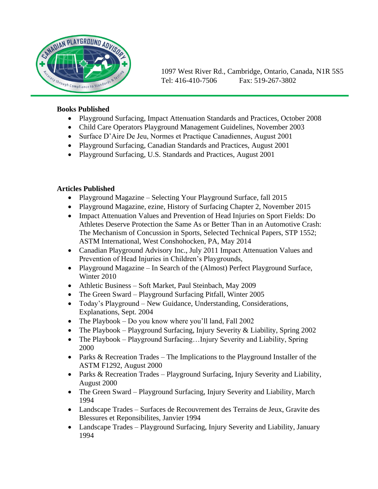

#### **Books Published**

- Playground Surfacing, Impact Attenuation Standards and Practices, October 2008
- Child Care Operators Playground Management Guidelines, November 2003
- Surface D'Aire De Jeu, Normes et Practique Canadiennes, August 2001
- Playground Surfacing, Canadian Standards and Practices, August 2001
- Playground Surfacing, U.S. Standards and Practices, August 2001

### **Articles Published**

- Playground Magazine Selecting Your Playground Surface, fall 2015
- Playground Magazine, ezine, History of Surfacing Chapter 2, November 2015
- Impact Attenuation Values and Prevention of Head Injuries on Sport Fields: Do Athletes Deserve Protection the Same As or Better Than in an Automotive Crash: The Mechanism of Concussion in Sports, Selected Technical Papers, STP 1552; ASTM International, West Conshohocken, PA, May 2014
- Canadian Playground Advisory Inc., July 2011 Impact Attenuation Values and Prevention of Head Injuries in Children's Playgrounds,
- Playground Magazine In Search of the (Almost) Perfect Playground Surface, Winter 2010
- Athletic Business Soft Market, Paul Steinbach, May 2009
- The Green Sward Playground Surfacing Pitfall, Winter 2005
- Today's Playground New Guidance, Understanding, Considerations, Explanations, Sept. 2004
- The Playbook Do you know where you'll land, Fall  $2002$
- The Playbook Playground Surfacing, Injury Severity & Liability, Spring 2002
- The Playbook Playground Surfacing...Injury Severity and Liability, Spring 2000
- Parks & Recreation Trades The Implications to the Playground Installer of the ASTM F1292, August 2000
- Parks & Recreation Trades Playground Surfacing, Injury Severity and Liability, August 2000
- The Green Sward Playground Surfacing, Injury Severity and Liability, March 1994
- Landscape Trades Surfaces de Recouvrement des Terrains de Jeux, Gravite des Blessures et Reponsibilites, Janvier 1994
- Landscape Trades Playground Surfacing, Injury Severity and Liability, January 1994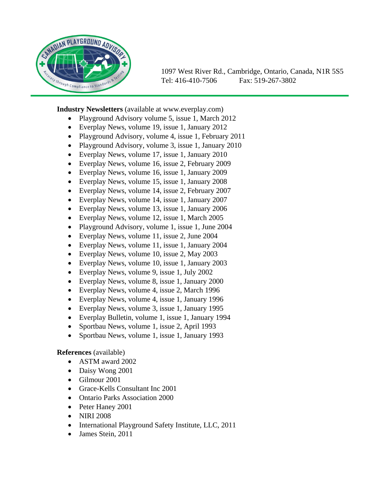

**Industry Newsletters** (available at www.everplay.com)

- Playground Advisory volume 5, issue 1, March 2012
- Everplay News, volume 19, issue 1, January 2012
- Playground Advisory, volume 4, issue 1, February 2011
- Playground Advisory, volume 3, issue 1, January 2010
- Everplay News, volume 17, issue 1, January 2010
- Everplay News, volume 16, issue 2, February 2009
- Everplay News, volume 16, issue 1, January 2009
- Everplay News, volume 15, issue 1, January 2008
- Everplay News, volume 14, issue 2, February 2007
- Everplay News, volume 14, issue 1, January 2007
- Everplay News, volume 13, issue 1, January 2006
- Everplay News, volume 12, issue 1, March 2005
- Playground Advisory, volume 1, issue 1, June 2004
- Everplay News, volume 11, issue 2, June 2004
- Everplay News, volume 11, issue 1, January 2004
- Everplay News, volume 10, issue 2, May 2003
- Everplay News, volume 10, issue 1, January 2003
- Everplay News, volume 9, issue 1, July 2002
- Everplay News, volume 8, issue 1, January 2000
- Everplay News, volume 4, issue 2, March 1996
- Everplay News, volume 4, issue 1, January 1996
- Everplay News, volume 3, issue 1, January 1995
- Everplay Bulletin, volume 1, issue 1, January 1994
- Sportbau News, volume 1, issue 2, April 1993
- Sportbau News, volume 1, issue 1, January 1993

#### **References** (available)

- ASTM award 2002
- Daisy Wong 2001
- Gilmour 2001
- Grace-Kells Consultant Inc 2001
- Ontario Parks Association 2000
- Peter Haney 2001
- NIRI 2008
- International Playground Safety Institute, LLC, 2011
- James Stein, 2011